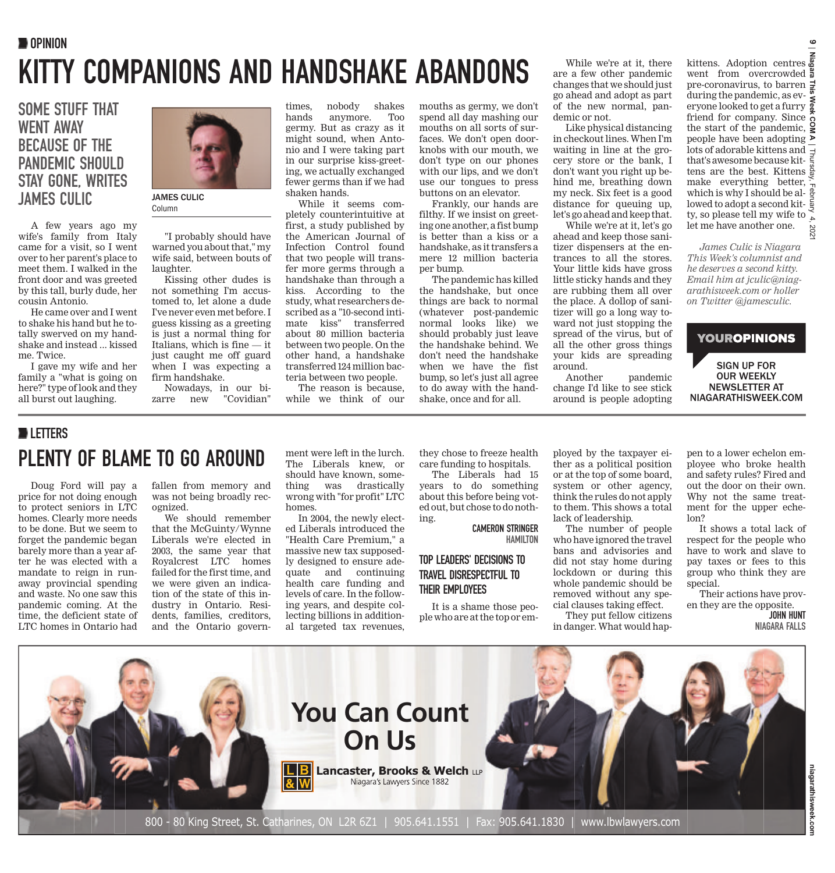## KITTY COMPANIONS AND HANDSHAKE ABANDONS **OPINION**

### SOME STUFF THAT WENT AWAY BECAUSE OF THE PANDEMIC SHOULD STAY GONE, WRITES JAMES CULIC JAMES CULIC

A few years ago my wife's family from Italy came for a visit, so I went over to her parent's place to meet them. I walked in the front door and was greeted by this tall, burly dude, her cousin Antonio.

He came over and I went to shake his hand but he totally swerved on my handshake and instead ... kissed me. Twice.

I gave my wife and her family a "what is going on here?" type of look and they all burst out laughing.



Column

"I probably should have warned you about that," my wife said, between bouts of laughter.

Kissing other dudes is not something I'm accustomed to, let alone a dude I've never even met before. I guess kissing as a greeting is just a normal thing for Italians, which is fine — it just caught me off guard when I was expecting a firm handshake.

Nowadays, in our bizarre new "Covidian"

times, nobody shakes anymore. germy. But as crazy as it might sound, when Antonio and I were taking part in our surprise kiss-greeting, we actually exchanged fewer germs than if we had shaken hands.

While it seems completely counterintuitive at first, a study published by the American Journal of Infection Control found that two people will transfer more germs through a handshake than through a kiss. According to the study, what researchers described as a "10-second intimate kiss" transferred about 80 million bacteria between two people. On the other hand, a handshake transferred 124 million bacteria between two people.

The reason is because, while we think of our mouths as germy, we don't spend all day mashing our mouths on all sorts of surfaces. We don't open doorknobs with our mouth, we don't type on our phones with our lips, and we don't use our tongues to press buttons on an elevator.

Frankly, our hands are filthy. If we insist on greeting one another, a fist bump is better than a kiss or a handshake, as it transfers a mere 12 million bacteria per bump.

The pandemic has killed the handshake, but once things are back to normal (whatever post-pandemic normal looks like) we should probably just leave the handshake behind. We don't need the handshake when we have the fist bump, so let's just all agree to do away with the handshake, once and for all.

While we're at it, there are a few other pandemic changes that we should just go ahead and adopt as part of the new normal, pandemic or not.

Like physical distancing in checkout lines. When I'm waiting in line at the grocery store or the bank, I don't want you right up behind me, breathing down my neck. Six feet is a good distance for queuing up, let's go ahead and keep that.

While we're at it, let's go ahead and keep those sanitizer dispensers at the entrances to all the stores. Your little kids have gross little sticky hands and they are rubbing them all over the place. A dollop of sanitizer will go a long way toward not just stopping the spread of the virus, but of all the other gross things your kids are spreading around.

Another pandemic change I'd like to see stick around is people adopting

**Niagara This Week COM A** kittens. Adoption centres went from overcrowded pre-coronavirus, to barren during the pandemic, as everyone looked to get a furry friend for company. Since the start of the pandemic, people have been adopting lots of adorable kittens and  $\overline{\phantom{a}}$ Thursday, February 4, 2021 that's awesome because kittens are the best. Kittens  $\frac{8}{9}$ make everything better, which is why I should be allowed to adopt a second kitty, so please tell my wife to  $\frac{8}{6}$ let me have another one. 202

 $\epsilon$ 

*James Culic is Niagara This Week's columnist and he deserves a second kitty. Email him at jculic@niagarathisweek.com or holler on Twitter @jamesculic.*

### **YOUROPINIONS** SIGN UP FOR OUR WEEKLY NEWSLETTER AT NIAGARATHISWEEK.COM

### **DELETTERS** PLENTY OF BLAME TO GO AROUND

Doug Ford will pay a price for not doing enough to protect seniors in LTC homes. Clearly more needs to be done. But we seem to forget the pandemic began barely more than a year after he was elected with a mandate to reign in runaway provincial spending and waste. No one saw this pandemic coming. At the time, the deficient state of LTC homes in Ontario had fallen from memory and was not being broadly recognized.

We should remember that the McGuinty/Wynne Liberals we're elected in 2003, the same year that Royalcrest LTC homes failed for the first time, and we were given an indication of the state of this industry in Ontario. Residents, families, creditors, and the Ontario government were left in the lurch. The Liberals knew, or should have known, something was drastically wrong with "for profit" LTC homes.

In 2004, the newly elected Liberals introduced the "Health Care Premium," a massive new tax supposedly designed to ensure adequate and continuing health care funding and levels of care. In the following years, and despite collecting billions in additional targeted tax revenues,

they chose to freeze health care funding to hospitals.

The Liberals had 15 years to do something about this before being voted out, but chose to do nothing.

CAMERON STRINGER HAMILTON

### TOP LEADERS' DECISIONS TO TRAVEL DISRESPECTFUL TO THEIR EMPLOYEES

It is a shame those people who are at the top or employed by the taxpayer either as a political position or at the top of some board, system or other agency, think the rules do not apply to them. This shows a total lack of leadership.

The number of people who have ignored the travel bans and advisories and did not stay home during lockdown or during this whole pandemic should be removed without any special clauses taking effect.

They put fellow citizens in danger. What would hap-

pen to a lower echelon employee who broke health and safety rules? Fired and out the door on their own. Why not the same treatment for the upper echelon?

It shows a total lack of respect for the people who have to work and slave to pay taxes or fees to this group who think they are special.

Their actions have proven they are the opposite.

JOHN HUNT NIAGARA FALLS

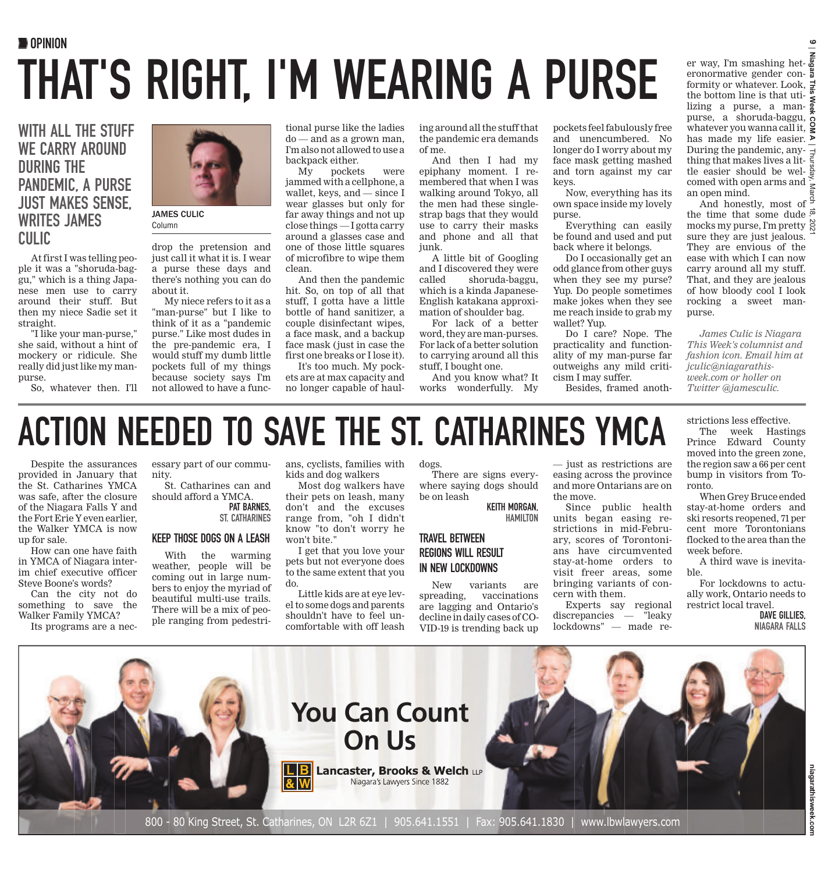# **OPINION** THAT'S RIGHT, I'M WEARING A PURSE

### WITH ALL THE STUFF WE CARRY AROUND DURING THE PANDEMIC, A PURSE JUST MAKES SENSE, WRITES JAMES CULIC

At first I was telling people it was a "shoruda-baggu," which is a thing Japanese men use to carry around their stuff. But then my niece Sadie set it straight.

"I like your man-purse," she said, without a hint of mockery or ridicule. She really did just like my manpurse

So, whatever then. I'll



Column

drop the pretension and just call it what it is. I wear a purse these days and there's nothing you can do about it.

My niece refers to it as a "man-purse" but I like to think of it as a "pandemic purse." Like most dudes in the pre-pandemic era, I would stuff my dumb little pockets full of my things because society says I'm not allowed to have a func-

tional purse like the ladies do — and as a grown man, I'm also not allowed to use a backpack either.

My pockets were jammed with a cellphone, a wallet, keys, and — since I wear glasses but only for far away things and not up close things — I gotta carry around a glasses case and one of those little squares of microfibre to wipe them clean.

And then the pandemic hit. So, on top of all that stuff, I gotta have a little bottle of hand sanitizer, a couple disinfectant wipes, a face mask, and a backup face mask (just in case the first one breaks or I lose it).

It's too much. My pockets are at max capacity and no longer capable of hauling around all the stuff that the pandemic era demands of me.

And then I had my epiphany moment. I remembered that when I was walking around Tokyo, all the men had these singlestrap bags that they would use to carry their masks and phone and all that junk.

A little bit of Googling and I discovered they were called shoruda-baggu, which is a kinda Japanese-English katakana approximation of shoulder bag.

For lack of a better word, they are man-purses. For lack of a better solution to carrying around all this stuff, I bought one.

And you know what? It works wonderfully. My

pockets feel fabulously free and unencumbered. No longer do I worry about my face mask getting mashed and torn against my car keys.

Now, everything has its own space inside my lovely purse.

Everything can easily be found and used and put back where it belongs.

Do I occasionally get an odd glance from other guys when they see my purse? Yup. Do people sometimes make jokes when they see me reach inside to grab my wallet? Yup.

Do I care? Nope. The practicality and functionality of my man-purse far outweighs any mild criticism I may suffer.

Besides, framed anoth-

**Niagara This Week COM A** has made my life easier.  $\blacktriangleright$ Thursday, March 18, 2021 er way, I'm smashing heteronormative gender conformity or whatever. Look, **∌** the bottom line is that utithe bottom line is that uti-  $\frac{2}{5}$ <br>lizing a purse, a manpurse, a shoruda-baggu, whatever you wanna call it, During the pandemic, anything that makes lives a litthe easier should be wel- $\frac{3}{8}$ comed with open arms and  $\frac{5}{5}$ an open mind.

**9**

And honestly, most of  $\frac{3}{5}$ the time that some dude  $\vec{\tilde{\phi}}$ mocks my purse, I'm pretty sure they are just jealous. They are envious of the ease with which I can now carry around all my stuff. That, and they are jealous of how bloody cool I look rocking a sweet manpurse.

*James Culic is Niagara This Week's columnist and fashion icon. Email him at jculic@niagarathisweek.com or holler on Twitter @jamesculic.*

strictions less effective. The week Hastings Prince Edward County moved into the green zone, the region saw a 66 per cent

# ACTION NEEDED TO SAVE THE ST. CATHARINES YMCA

Despite the assurances provided in January that the St. Catharines YMCA was safe, after the closure of the Niagara Falls Y and the Fort Erie Y even earlier, the Walker YMCA is now up for sale.

How can one have faith in YMCA of Niagara interim chief executive officer Steve Boone's words?

Can the city not do something to save the Walker Family YMCA?

Its programs are a nec-

essary part of our community.

St. Catharines can and should afford a YMCA. PAT BARNES.

#### KEEP THOSE DOGS ON A LEASH

ST. CATHARINES

With the warming weather, people will be coming out in large numbers to enjoy the myriad of beautiful multi-use trails. There will be a mix of people ranging from pedestrians, cyclists, families with kids and dog walkers

Most dog walkers have their pets on leash, many don't and the excuses range from, "oh I didn't know "to don't worry he won't bite."

I get that you love your pets but not everyone does to the same extent that you do.

Little kids are at eye level to some dogs and parents shouldn't have to feel uncomfortable with off leash dogs. There are signs every-

where saying dogs should be on leash KEITH MORGAN,

HAMILTON TRAVEL BETWEEN

### REGIONS WILL RESULT IN NEW LOCKDOWNS

New variants are spreading, vaccinations are lagging and Ontario's decline in daily cases of CO-VID-19 is trending back up

— just as restrictions are easing across the province and more Ontarians are on the move.

Since public health units began easing restrictions in mid-February, scores of Torontonians have circumvented stay-at-home orders to visit freer areas, some bringing variants of concern with them.

Experts say regional discrepancies — "leaky lockdowns" — made re-

bump in visitors from Toronto. When Grey Bruce ended stay-at-home orders and ski resorts reopened, 71 per cent more Torontonians flocked to the area than the

week before. A third wave is inevitable.

For lockdowns to actually work, Ontario needs to restrict local travel.

> DAVE GILLIES, NIAGARA FALLS